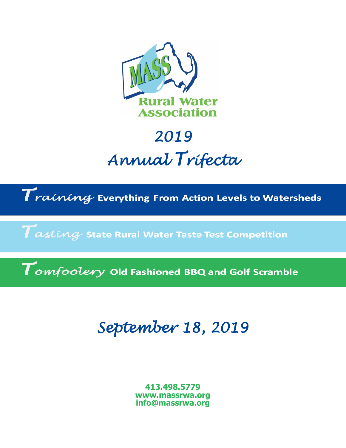

# *2019 Annual Trifecta*

 $\boldsymbol{T}$ raíníng Everything From Action Levels to Watersheds

 $\boldsymbol{\tau}$  asting State Rural Water Taste Test Competition

 $\boldsymbol{\mathcal{T}_{\mathit{omfoolery}}}$  Old Fashioned BBQ and Golf Scramble

## *September 18, 2019*

**413.498.5779 www.massrwa.org info@massrwa.org**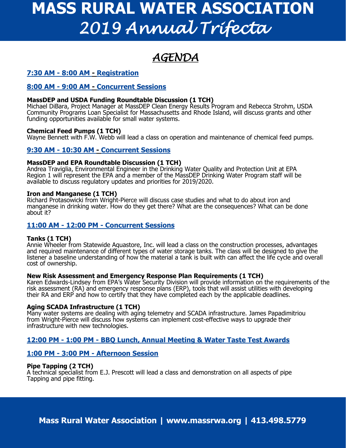# **MASS RURAL WATER ASSOCIATION** *2019 Annual Trifecta*

### *AGENDA*

#### **7:30 AM - 8:00 AM - Registration**

#### **8:00 AM - 9:00 AM - Concurrent Sessions**

#### **MassDEP and USDA Funding Roundtable Discussion (1 TCH)**

Michael DiBara, Project Manager at MassDEP Clean Energy Results Program and Rebecca Strohm, USDA Community Programs Loan Specialist for Massachusetts and Rhode Island, will discuss grants and other funding opportunities available for small water systems.

#### **Chemical Feed Pumps (1 TCH)**

Wayne Bennett with F.W. Webb will lead a class on operation and maintenance of chemical feed pumps.

#### **9:30 AM - 10:30 AM - Concurrent Sessions**

#### **MassDEP and EPA Roundtable Discussion (1 TCH)**

Andrea Traviglia, Environmental Engineer in the Drinking Water Quality and Protection Unit at EPA Region 1 will represent the EPA and a member of the MassDEP Drinking Water Program staff will be available to discuss regulatory updates and priorities for 2019/2020.

#### **Iron and Manganese (1 TCH)**

Richard Protasowicki from Wright-Pierce will discuss case studies and what to do about iron and manganese in drinking water. How do they get there? What are the consequences? What can be done about it?

#### **11:00 AM - 12:00 PM - Concurrent Sessions**

#### **Tanks (1 TCH)**

Annie Wheeler from Statewide Aquastore, Inc. will lead a class on the construction processes, advantages and required maintenance of different types of water storage tanks. The class will be designed to give the listener a baseline understanding of how the material a tank is built with can affect the life cycle and overall cost of ownership.

#### **New Risk Assessment and Emergency Response Plan Requirements (1 TCH)**

Karen Edwards-Lindsey from EPA's Water Security Division will provide information on the requirements of the risk assessment (RA) and emergency response plans (ERP), tools that will assist utilities with developing their RA and ERP and how to certify that they have completed each by the applicable deadlines.

#### **Aging SCADA Infrastructure (1 TCH)**

Many water systems are dealing with aging telemetry and SCADA infrastructure. James Papadimitriou from Wright-Pierce will discuss how systems can implement cost-effective ways to upgrade their infrastructure with new technologies.

#### **12:00 PM - 1:00 PM - BBQ Lunch, Annual Meeting & Water Taste Test Awards**

#### **1:00 PM - 3:00 PM - Afternoon Session**

#### **Pipe Tapping (2 TCH)**

A technical specialist from E.J. Prescott will lead a class and demonstration on all aspects of pipe Tapping and pipe fitting.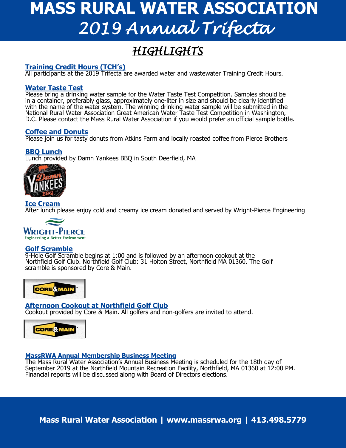# **MASS RURAL WATER ASSOCIATION** *2019 Annual Trifecta*

## *HIGHLIGHTS*

#### **Training Credit Hours (TCH's)**

All participants at the 2019 Trifecta are awarded water and wastewater Training Credit Hours.

#### **Water Taste Test**

Please bring a drinking water sample for the Water Taste Test Competition. Samples should be in a container, preferably glass, approximately one-liter in size and should be clearly identified with the name of the water system. The winning drinking water sample will be submitted in the National Rural Water Association Great American Water Taste Test Competition in Washington, D.C. Please contact the Mass Rural Water Association if you would prefer an official sample bottle.

#### **Coffee and Donuts**

Please join us for tasty donuts from Atkins Farm and locally roasted coffee from Pierce Brothers

#### **BBQ Lunch**

Lunch provided by Damn Yankees BBQ in South Deerfield, MA



### **Ice Cream**

After lunch please enjoy cold and creamy ice cream donated and served by Wright-Pierce Engineering



#### **Golf Scramble**

9-Hole Golf Scramble begins at 1:00 and is followed by an afternoon cookout at the Northfield Golf Club. Northfield Golf Club: 31 Holton Street, Northfield MA 01360. The Golf scramble is sponsored by Core & Main.



#### **Afternoon Cookout at Northfield Golf Club**

Cookout provided by Core & Main. All golfers and non-golfers are invited to attend.



#### **MassRWA Annual Membership Business Meeting**

The Mass Rural Water Association's Annual Business Meeting is scheduled for the 18th day of September 2019 at the Northfield Mountain Recreation Facility, Northfield, MA 01360 at 12:00 PM. Financial reports will be discussed along with Board of Directors elections.